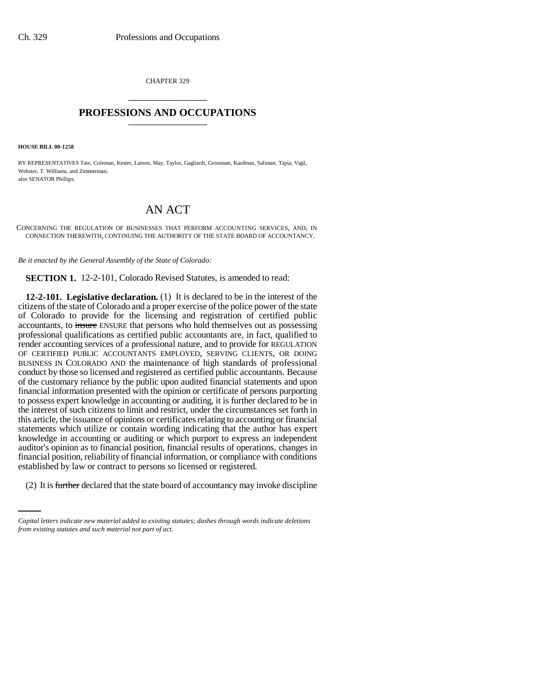CHAPTER 329 \_\_\_\_\_\_\_\_\_\_\_\_\_\_\_

## **PROFESSIONS AND OCCUPATIONS** \_\_\_\_\_\_\_\_\_\_\_\_\_\_\_

**HOUSE BILL 00-1258** 

BY REPRESENTATIVES Tate, Coleman, Kester, Larson, May, Taylor, Gagliardi, Grossman, Kaufman, Saliman, Tapia, Vigil, Webster, T. Williams, and Zimmerman; also SENATOR Phillips.

## AN ACT

CONCERNING THE REGULATION OF BUSINESSES THAT PERFORM ACCOUNTING SERVICES, AND, IN CONNECTION THEREWITH, CONTINUING THE AUTHORITY OF THE STATE BOARD OF ACCOUNTANCY.

*Be it enacted by the General Assembly of the State of Colorado:*

**SECTION 1.** 12-2-101, Colorado Revised Statutes, is amended to read:

established by law or contract to persons so licensed or registered. **12-2-101. Legislative declaration.** (1) It is declared to be in the interest of the citizens of the state of Colorado and a proper exercise of the police power of the state of Colorado to provide for the licensing and registration of certified public accountants, to insure ENSURE that persons who hold themselves out as possessing professional qualifications as certified public accountants are, in fact, qualified to render accounting services of a professional nature, and to provide for REGULATION OF CERTIFIED PUBLIC ACCOUNTANTS EMPLOYED, SERVING CLIENTS, OR DOING BUSINESS IN COLORADO AND the maintenance of high standards of professional conduct by those so licensed and registered as certified public accountants. Because of the customary reliance by the public upon audited financial statements and upon financial information presented with the opinion or certificate of persons purporting to possess expert knowledge in accounting or auditing, it is further declared to be in the interest of such citizens to limit and restrict, under the circumstances set forth in this article, the issuance of opinions or certificates relating to accounting or financial statements which utilize or contain wording indicating that the author has expert knowledge in accounting or auditing or which purport to express an independent auditor's opinion as to financial position, financial results of operations, changes in financial position, reliability of financial information, or compliance with conditions

(2) It is further declared that the state board of accountancy may invoke discipline

*Capital letters indicate new material added to existing statutes; dashes through words indicate deletions from existing statutes and such material not part of act.*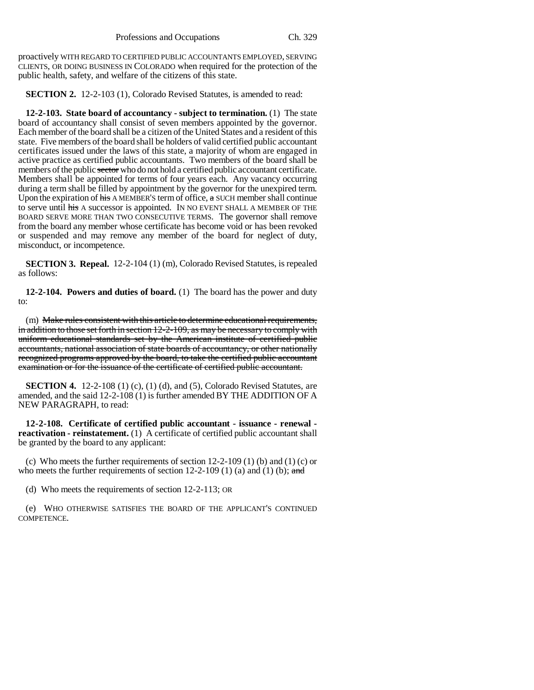proactively WITH REGARD TO CERTIFIED PUBLIC ACCOUNTANTS EMPLOYED, SERVING CLIENTS, OR DOING BUSINESS IN COLORADO when required for the protection of the public health, safety, and welfare of the citizens of this state.

**SECTION 2.** 12-2-103 (1), Colorado Revised Statutes, is amended to read:

**12-2-103. State board of accountancy - subject to termination.** (1) The state board of accountancy shall consist of seven members appointed by the governor. Each member of the board shall be a citizen of the United States and a resident of this state. Five members of the board shall be holders of valid certified public accountant certificates issued under the laws of this state, a majority of whom are engaged in active practice as certified public accountants. Two members of the board shall be members of the public sector who do not hold a certified public accountant certificate. Members shall be appointed for terms of four years each. Any vacancy occurring during a term shall be filled by appointment by the governor for the unexpired term. Upon the expiration of  $\overline{h}$  A MEMBER's term of office,  $\alpha$  SUCH member shall continue to serve until his A successor is appointed. IN NO EVENT SHALL A MEMBER OF THE BOARD SERVE MORE THAN TWO CONSECUTIVE TERMS. The governor shall remove from the board any member whose certificate has become void or has been revoked or suspended and may remove any member of the board for neglect of duty, misconduct, or incompetence.

**SECTION 3. Repeal.** 12-2-104 (1) (m), Colorado Revised Statutes, is repealed as follows:

**12-2-104. Powers and duties of board.** (1) The board has the power and duty to:

(m) Make rules consistent with this article to determine educational requirements, in addition to those set forth in section 12-2-109, as may be necessary to comply with uniform educational standards set by the American institute of certified public accountants, national association of state boards of accountancy, or other nationally recognized programs approved by the board, to take the certified public accountant examination or for the issuance of the certificate of certified public accountant.

**SECTION 4.** 12-2-108 (1) (c), (1) (d), and (5), Colorado Revised Statutes, are amended, and the said 12-2-108 (1) is further amended BY THE ADDITION OF A NEW PARAGRAPH, to read:

**12-2-108. Certificate of certified public accountant - issuance - renewal reactivation - reinstatement.** (1) A certificate of certified public accountant shall be granted by the board to any applicant:

(c) Who meets the further requirements of section  $12-2-109$  (1) (b) and (1) (c) or who meets the further requirements of section 12-2-109 (1) (a) and (1) (b);  $\alpha$ nd

(d) Who meets the requirements of section 12-2-113; OR

(e) WHO OTHERWISE SATISFIES THE BOARD OF THE APPLICANT'S CONTINUED COMPETENCE.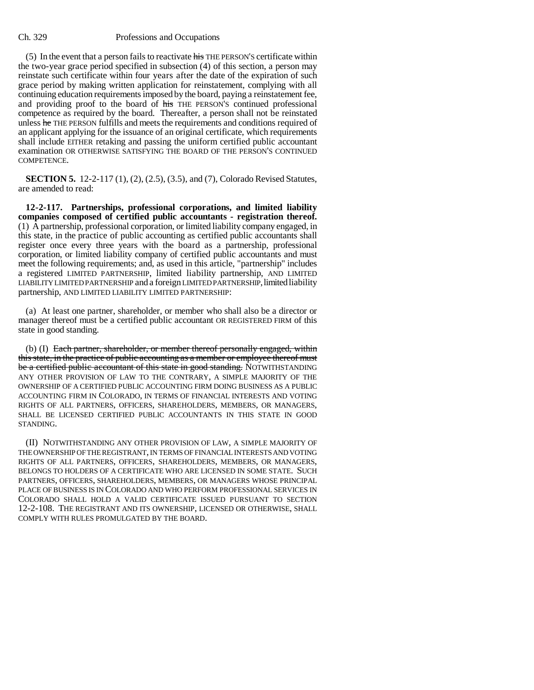## Ch. 329 Professions and Occupations

(5) In the event that a person fails to reactivate his THE PERSON'S certificate within the two-year grace period specified in subsection (4) of this section, a person may reinstate such certificate within four years after the date of the expiration of such grace period by making written application for reinstatement, complying with all continuing education requirements imposed by the board, paying a reinstatement fee, and providing proof to the board of his THE PERSON'S continued professional competence as required by the board. Thereafter, a person shall not be reinstated unless he THE PERSON fulfills and meets the requirements and conditions required of an applicant applying for the issuance of an original certificate, which requirements shall include EITHER retaking and passing the uniform certified public accountant examination OR OTHERWISE SATISFYING THE BOARD OF THE PERSON'S CONTINUED COMPETENCE.

**SECTION 5.** 12-2-117 (1), (2), (2.5), (3.5), and (7), Colorado Revised Statutes, are amended to read:

**12-2-117. Partnerships, professional corporations, and limited liability companies composed of certified public accountants - registration thereof.** (1) A partnership, professional corporation, or limited liability company engaged, in this state, in the practice of public accounting as certified public accountants shall register once every three years with the board as a partnership, professional corporation, or limited liability company of certified public accountants and must meet the following requirements; and, as used in this article, "partnership" includes a registered LIMITED PARTNERSHIP, limited liability partnership, AND LIMITED LIABILITY LIMITED PARTNERSHIP and a foreign LIMITED PARTNERSHIP, limited liability partnership, AND LIMITED LIABILITY LIMITED PARTNERSHIP:

(a) At least one partner, shareholder, or member who shall also be a director or manager thereof must be a certified public accountant OR REGISTERED FIRM of this state in good standing.

(b) (I) Each partner, shareholder, or member thereof personally engaged, within this state, in the practice of public accounting as a member or employee thereof must be a certified public accountant of this state in good standing. NOTWITHSTANDING ANY OTHER PROVISION OF LAW TO THE CONTRARY, A SIMPLE MAJORITY OF THE OWNERSHIP OF A CERTIFIED PUBLIC ACCOUNTING FIRM DOING BUSINESS AS A PUBLIC ACCOUNTING FIRM IN COLORADO, IN TERMS OF FINANCIAL INTERESTS AND VOTING RIGHTS OF ALL PARTNERS, OFFICERS, SHAREHOLDERS, MEMBERS, OR MANAGERS, SHALL BE LICENSED CERTIFIED PUBLIC ACCOUNTANTS IN THIS STATE IN GOOD STANDING.

(II) NOTWITHSTANDING ANY OTHER PROVISION OF LAW, A SIMPLE MAJORITY OF THE OWNERSHIP OF THE REGISTRANT, IN TERMS OF FINANCIAL INTERESTS AND VOTING RIGHTS OF ALL PARTNERS, OFFICERS, SHAREHOLDERS, MEMBERS, OR MANAGERS, BELONGS TO HOLDERS OF A CERTIFICATE WHO ARE LICENSED IN SOME STATE. SUCH PARTNERS, OFFICERS, SHAREHOLDERS, MEMBERS, OR MANAGERS WHOSE PRINCIPAL PLACE OF BUSINESS IS IN COLORADO AND WHO PERFORM PROFESSIONAL SERVICES IN COLORADO SHALL HOLD A VALID CERTIFICATE ISSUED PURSUANT TO SECTION 12-2-108. THE REGISTRANT AND ITS OWNERSHIP, LICENSED OR OTHERWISE, SHALL COMPLY WITH RULES PROMULGATED BY THE BOARD.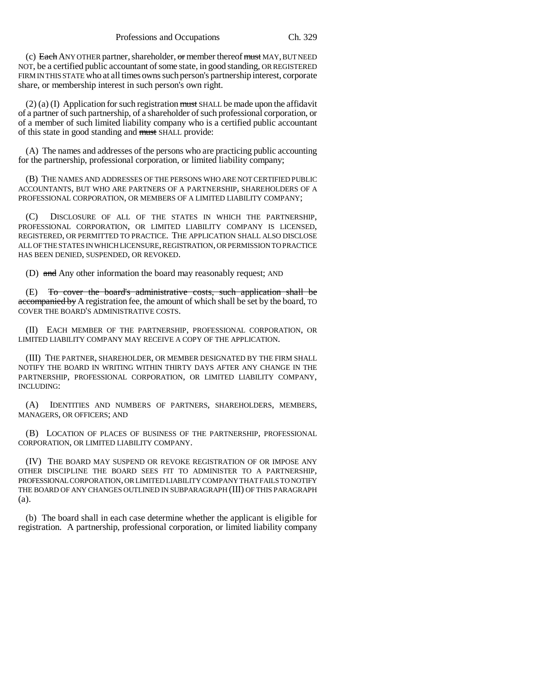(c) Each ANY OTHER partner, shareholder,  $\sigma$ r member thereof  $m$ ust MAY, BUT NEED NOT, be a certified public accountant of some state, in good standing, OR REGISTERED FIRM IN THIS STATE who at all times owns such person's partnership interest, corporate share, or membership interest in such person's own right.

 $(2)$  (a) (I) Application for such registration must SHALL be made upon the affidavit of a partner of such partnership, of a shareholder of such professional corporation, or of a member of such limited liability company who is a certified public accountant of this state in good standing and must SHALL provide:

(A) The names and addresses of the persons who are practicing public accounting for the partnership, professional corporation, or limited liability company;

(B) THE NAMES AND ADDRESSES OF THE PERSONS WHO ARE NOT CERTIFIED PUBLIC ACCOUNTANTS, BUT WHO ARE PARTNERS OF A PARTNERSHIP, SHAREHOLDERS OF A PROFESSIONAL CORPORATION, OR MEMBERS OF A LIMITED LIABILITY COMPANY;

(C) DISCLOSURE OF ALL OF THE STATES IN WHICH THE PARTNERSHIP, PROFESSIONAL CORPORATION, OR LIMITED LIABILITY COMPANY IS LICENSED, REGISTERED, OR PERMITTED TO PRACTICE. THE APPLICATION SHALL ALSO DISCLOSE ALL OF THE STATES IN WHICH LICENSURE, REGISTRATION, OR PERMISSION TO PRACTICE HAS BEEN DENIED, SUSPENDED, OR REVOKED.

(D) and Any other information the board may reasonably request; AND

(E) To cover the board's administrative costs, such application shall be accompanied by A registration fee, the amount of which shall be set by the board, TO COVER THE BOARD'S ADMINISTRATIVE COSTS.

(II) EACH MEMBER OF THE PARTNERSHIP, PROFESSIONAL CORPORATION, OR LIMITED LIABILITY COMPANY MAY RECEIVE A COPY OF THE APPLICATION.

(III) THE PARTNER, SHAREHOLDER, OR MEMBER DESIGNATED BY THE FIRM SHALL NOTIFY THE BOARD IN WRITING WITHIN THIRTY DAYS AFTER ANY CHANGE IN THE PARTNERSHIP, PROFESSIONAL CORPORATION, OR LIMITED LIABILITY COMPANY, INCLUDING:

(A) IDENTITIES AND NUMBERS OF PARTNERS, SHAREHOLDERS, MEMBERS, MANAGERS, OR OFFICERS; AND

(B) LOCATION OF PLACES OF BUSINESS OF THE PARTNERSHIP, PROFESSIONAL CORPORATION, OR LIMITED LIABILITY COMPANY.

(IV) THE BOARD MAY SUSPEND OR REVOKE REGISTRATION OF OR IMPOSE ANY OTHER DISCIPLINE THE BOARD SEES FIT TO ADMINISTER TO A PARTNERSHIP, PROFESSIONAL CORPORATION, OR LIMITED LIABILITY COMPANY THAT FAILS TO NOTIFY THE BOARD OF ANY CHANGES OUTLINED IN SUBPARAGRAPH (III) OF THIS PARAGRAPH (a).

(b) The board shall in each case determine whether the applicant is eligible for registration. A partnership, professional corporation, or limited liability company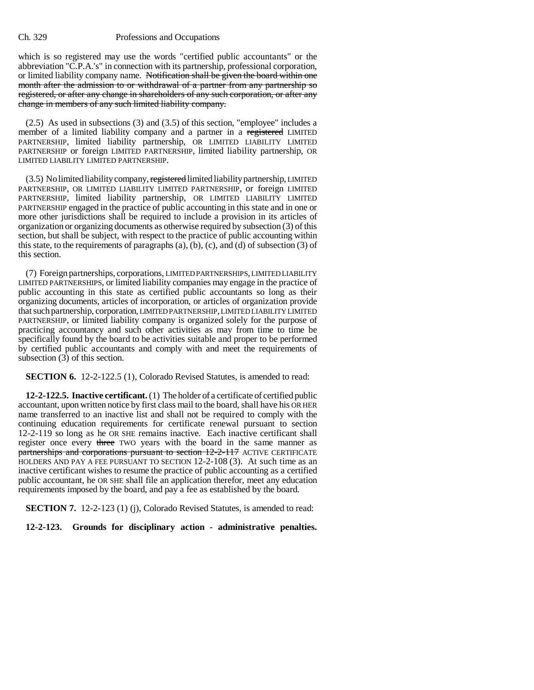## Ch. 329 Professions and Occupations

which is so registered may use the words "certified public accountants" or the abbreviation "C.P.A.'s" in connection with its partnership, professional corporation, or limited liability company name. Notification shall be given the board within one month after the admission to or withdrawal of a partner from any partnership so registered, or after any change in shareholders of any such corporation, or after any change in members of any such limited liability company.

(2.5) As used in subsections (3) and (3.5) of this section, "employee" includes a member of a limited liability company and a partner in a registered LIMITED PARTNERSHIP, limited liability partnership, OR LIMITED LIABILITY LIMITED PARTNERSHIP or foreign LIMITED PARTNERSHIP, limited liability partnership, OR LIMITED LIABILITY LIMITED PARTNERSHIP.

(3.5) No limited liability company, registered limited liability partnership, LIMITED PARTNERSHIP, OR LIMITED LIABILITY LIMITED PARTNERSHIP, or foreign LIMITED PARTNERSHIP, limited liability partnership, OR LIMITED LIABILITY LIMITED PARTNERSHIP engaged in the practice of public accounting in this state and in one or more other jurisdictions shall be required to include a provision in its articles of organization or organizing documents as otherwise required by subsection (3) of this section, but shall be subject, with respect to the practice of public accounting within this state, to the requirements of paragraphs  $(a)$ ,  $(b)$ ,  $(c)$ , and  $(d)$  of subsection  $(3)$  of this section.

(7) Foreign partnerships, corporations, LIMITED PARTNERSHIPS, LIMITED LIABILITY LIMITED PARTNERSHIPS, or limited liability companies may engage in the practice of public accounting in this state as certified public accountants so long as their organizing documents, articles of incorporation, or articles of organization provide that such partnership, corporation, LIMITED PARTNERSHIP, LIMITED LIABILITY LIMITED PARTNERSHIP, or limited liability company is organized solely for the purpose of practicing accountancy and such other activities as may from time to time be specifically found by the board to be activities suitable and proper to be performed by certified public accountants and comply with and meet the requirements of subsection (3) of this section.

**SECTION 6.** 12-2-122.5 (1), Colorado Revised Statutes, is amended to read:

**12-2-122.5. Inactive certificant.** (1) The holder of a certificate of certified public accountant, upon written notice by first class mail to the board, shall have his OR HER name transferred to an inactive list and shall not be required to comply with the continuing education requirements for certificate renewal pursuant to section 12-2-119 so long as he OR SHE remains inactive. Each inactive certificant shall register once every three TWO years with the board in the same manner as partnerships and corporations pursuant to section 12-2-117 ACTIVE CERTIFICATE HOLDERS AND PAY A FEE PURSUANT TO SECTION 12-2-108 (3). At such time as an inactive certificant wishes to resume the practice of public accounting as a certified public accountant, he OR SHE shall file an application therefor, meet any education requirements imposed by the board, and pay a fee as established by the board.

**SECTION 7.** 12-2-123 (1) (j), Colorado Revised Statutes, is amended to read:

**12-2-123. Grounds for disciplinary action - administrative penalties.**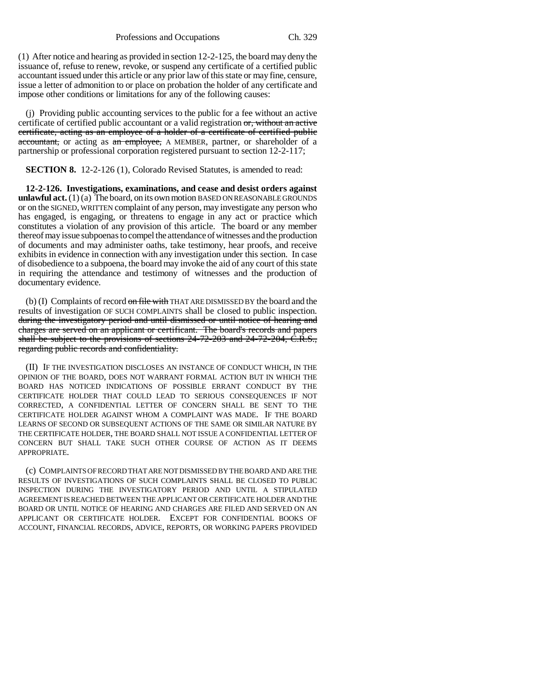Professions and Occupations Ch. 329

(1) After notice and hearing as provided in section 12-2-125, the board may deny the issuance of, refuse to renew, revoke, or suspend any certificate of a certified public accountant issued under this article or any prior law of this state or may fine, censure, issue a letter of admonition to or place on probation the holder of any certificate and impose other conditions or limitations for any of the following causes:

(j) Providing public accounting services to the public for a fee without an active certificate of certified public accountant or a valid registration or, without an active certificate, acting as an employee of a holder of a certificate of certified public accountant, or acting as an employee, A MEMBER, partner, or shareholder of a partnership or professional corporation registered pursuant to section 12-2-117;

**SECTION 8.** 12-2-126 (1), Colorado Revised Statutes, is amended to read:

**12-2-126. Investigations, examinations, and cease and desist orders against unlawful act.** (1) (a) The board, on its own motion BASED ON REASONABLE GROUNDS or on the SIGNED, WRITTEN complaint of any person, may investigate any person who has engaged, is engaging, or threatens to engage in any act or practice which constitutes a violation of any provision of this article. The board or any member thereof may issue subpoenas to compel the attendance of witnesses and the production of documents and may administer oaths, take testimony, hear proofs, and receive exhibits in evidence in connection with any investigation under this section. In case of disobedience to a subpoena, the board may invoke the aid of any court of this state in requiring the attendance and testimony of witnesses and the production of documentary evidence.

(b) (I) Complaints of record on file with THAT ARE DISMISSED BY the board and the results of investigation OF SUCH COMPLAINTS shall be closed to public inspection. during the investigatory period and until dismissed or until notice of hearing and charges are served on an applicant or certificant. The board's records and papers shall be subject to the provisions of sections 24-72-203 and 24-72-204, C.R.S., regarding public records and confidentiality.

(II) IF THE INVESTIGATION DISCLOSES AN INSTANCE OF CONDUCT WHICH, IN THE OPINION OF THE BOARD, DOES NOT WARRANT FORMAL ACTION BUT IN WHICH THE BOARD HAS NOTICED INDICATIONS OF POSSIBLE ERRANT CONDUCT BY THE CERTIFICATE HOLDER THAT COULD LEAD TO SERIOUS CONSEQUENCES IF NOT CORRECTED, A CONFIDENTIAL LETTER OF CONCERN SHALL BE SENT TO THE CERTIFICATE HOLDER AGAINST WHOM A COMPLAINT WAS MADE. IF THE BOARD LEARNS OF SECOND OR SUBSEQUENT ACTIONS OF THE SAME OR SIMILAR NATURE BY THE CERTIFICATE HOLDER, THE BOARD SHALL NOT ISSUE A CONFIDENTIAL LETTER OF CONCERN BUT SHALL TAKE SUCH OTHER COURSE OF ACTION AS IT DEEMS APPROPRIATE.

(c) COMPLAINTS OF RECORD THAT ARE NOT DISMISSED BY THE BOARD AND ARE THE RESULTS OF INVESTIGATIONS OF SUCH COMPLAINTS SHALL BE CLOSED TO PUBLIC INSPECTION DURING THE INVESTIGATORY PERIOD AND UNTIL A STIPULATED AGREEMENT IS REACHED BETWEEN THE APPLICANT OR CERTIFICATE HOLDER AND THE BOARD OR UNTIL NOTICE OF HEARING AND CHARGES ARE FILED AND SERVED ON AN APPLICANT OR CERTIFICATE HOLDER. EXCEPT FOR CONFIDENTIAL BOOKS OF ACCOUNT, FINANCIAL RECORDS, ADVICE, REPORTS, OR WORKING PAPERS PROVIDED